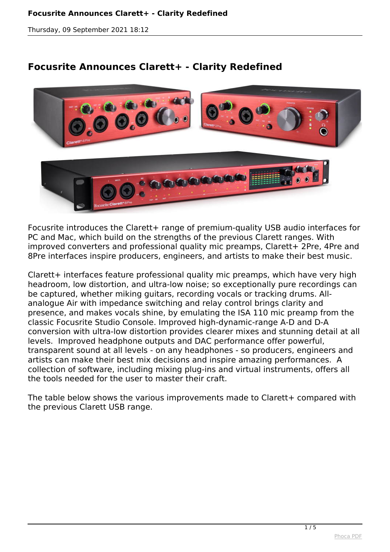#### **Focusrite Announces Clarett+ - Clarity Redefined**

*Thursday, 09 September 2021 18:12*

# **Focusrite Announces Clarett+ - Clarity Redefined**



*Focusrite introduces the Clarett+ range of premium-quality USB audio interfaces for PC and Mac, which build on the strengths of the previous Clarett ranges. With improved converters and professional quality mic preamps, Clarett+ 2Pre, 4Pre and 8Pre interfaces inspire producers, engineers, and artists to make their best music.* 

*Clarett+ interfaces feature professional quality mic preamps, which have very high headroom, low distortion, and ultra-low noise; so exceptionally pure recordings can be captured, whether miking guitars, recording vocals or tracking drums. Allanalogue Air with impedance switching and relay control brings clarity and presence, and makes vocals shine, by emulating the ISA 110 mic preamp from the classic Focusrite Studio Console. Improved high-dynamic-range A-D and D-A conversion with ultra-low distortion provides clearer mixes and stunning detail at all levels. Improved headphone outputs and DAC performance offer powerful, transparent sound at all levels - on any headphones - so producers, engineers and artists can make their best mix decisions and inspire amazing performances. A collection of software, including mixing plug-ins and virtual instruments, offers all the tools needed for the user to master their craft.* 

*The table below shows the various improvements made to Clarett+ compared with the previous Clarett USB range.*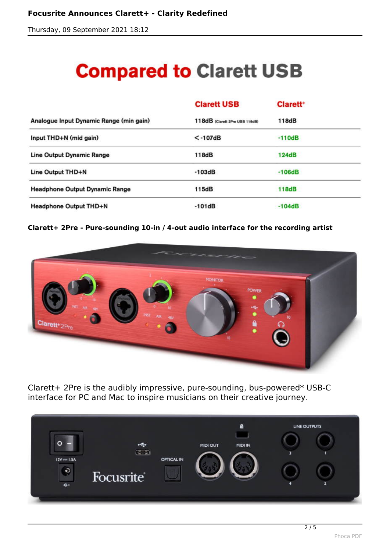*Thursday, 09 September 2021 18:12*

# **Compared to Clarett USB**

|                                         | <b>Clarett USB</b>             | <b>Clarett</b> <sup>+</sup> |  |
|-----------------------------------------|--------------------------------|-----------------------------|--|
| Analogue Input Dynamic Range (min gain) | 118dB (Clarett 2Pre USB 119dB) | 118dB                       |  |
| Input THD+N (mid gain)                  | $<$ -107dB                     | $-110dB$                    |  |
| <b>Line Output Dynamic Range</b>        | 118dB                          | 124dB                       |  |
| Line Output THD+N                       | $-103dB$                       | $-106dB$                    |  |
| <b>Headphone Output Dynamic Range</b>   | 115dB                          | 118dB                       |  |
| <b>Headphone Output THD+N</b>           | $-101dB$                       | $-104dB$                    |  |

#### **Clarett+ 2Pre - Pure-sounding 10-in / 4-out audio interface for the recording artist**



*Clarett+ 2Pre is the audibly impressive, pure-sounding, bus-powered\* USB-C interface for PC and Mac to inspire musicians on their creative journey.* 

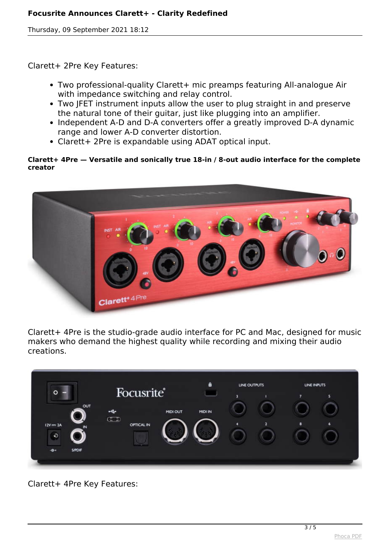#### **Focusrite Announces Clarett+ - Clarity Redefined**

*Thursday, 09 September 2021 18:12*

*Clarett+ 2Pre Key Features:*

- *Two professional-quality Clarett+ mic preamps featuring All-analogue Air with impedance switching and relay control.*
- *Two JFET instrument inputs allow the user to plug straight in and preserve the natural tone of their guitar, just like plugging into an amplifier.*
- *Independent A-D and D-A converters offer a greatly improved D-A dynamic range and lower A-D converter distortion.*
- *Clarett+ 2Pre is expandable using ADAT optical input.*

#### **Clarett+ 4Pre — Versatile and sonically true 18-in / 8-out audio interface for the complete creator**



*Clarett+ 4Pre is the studio-grade audio interface for PC and Mac, designed for music makers who demand the highest quality while recording and mixing their audio creations.* 

|                              |                       | a              | LINE OUTPUTS   | LINE INPUTS   |
|------------------------------|-----------------------|----------------|----------------|---------------|
| $\circ$                      | <b>Focusrite®</b>     |                | R              | s<br>7        |
| OUT                          | <b>MIDI OUT</b>       | <b>MIDI IN</b> |                |               |
| $12V = 2A$<br>$\blacksquare$ | $C = 3$<br>OPTICAL IN |                | $\overline{2}$ | <b>B</b><br>6 |
| $\ddot{\circ}$               |                       |                |                |               |
| S/PDIF<br>$-6 +$             |                       |                |                |               |

*Clarett+ 4Pre Key Features:*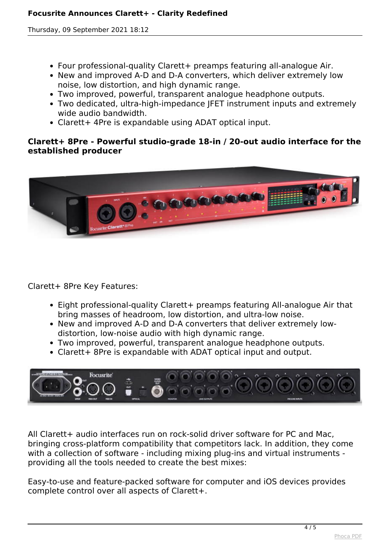*Thursday, 09 September 2021 18:12*

- *Four professional-quality Clarett+ preamps featuring all-analogue Air.*
- *New and improved A-D and D-A converters, which deliver extremely low noise, low distortion, and high dynamic range.*
- *Two improved, powerful, transparent analogue headphone outputs.*
- *Two dedicated, ultra-high-impedance JFET instrument inputs and extremely wide audio bandwidth.*
- *Clarett+ 4Pre is expandable using ADAT optical input.*

### **Clarett+ 8Pre - Powerful studio-grade 18-in / 20-out audio interface for the established producer**



*Clarett+ 8Pre Key Features:*

- *Eight professional-quality Clarett+ preamps featuring All-analogue Air that bring masses of headroom, low distortion, and ultra-low noise.*
- New and improved A-D and D-A converters that deliver extremely low*distortion, low-noise audio with high dynamic range.*
- *Two improved, powerful, transparent analogue headphone outputs.*
- *Clarett+ 8Pre is expandable with ADAT optical input and output.*



*All Clarett+ audio interfaces run on rock-solid driver software for PC and Mac, bringing cross-platform compatibility that competitors lack. In addition, they come with a collection of software - including mixing plug-ins and virtual instruments providing all the tools needed to create the best mixes:* 

*Easy-to-use and feature-packed software for computer and iOS devices provides complete control over all aspects of Clarett+.*